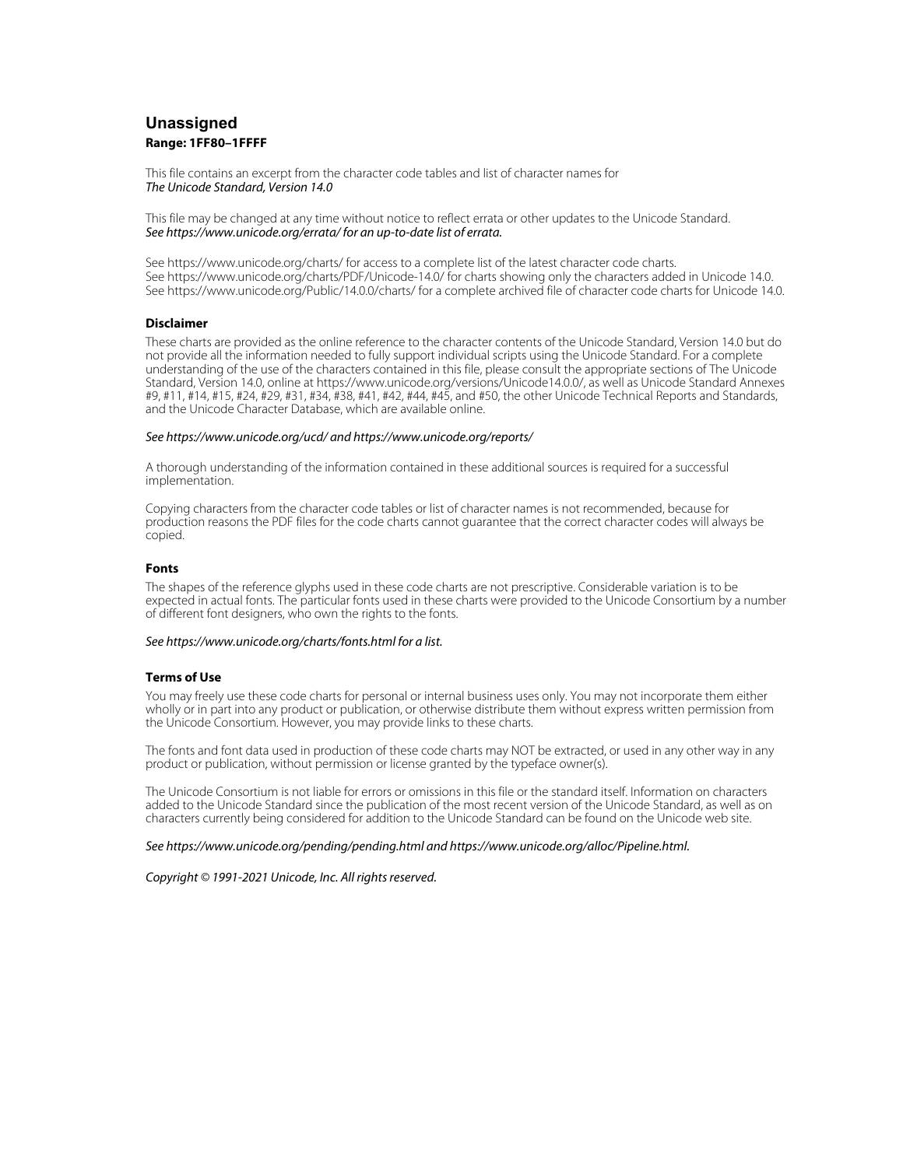# **Unassigned Range: 1FF80–1FFFF**

This file contains an excerpt from the character code tables and list of character names for The Unicode Standard, Version 14.0

This file may be changed at any time without notice to reflect errata or other updates to the Unicode Standard. See https://www.unicode.org/errata/ for an up-to-date list of errata.

See https://www.unicode.org/charts/ for access to a complete list of the latest character code charts. See https://www.unicode.org/charts/PDF/Unicode-14.0/ for charts showing only the characters added in Unicode 14.0. See https://www.unicode.org/Public/14.0.0/charts/ for a complete archived file of character code charts for Unicode 14.0.

## **Disclaimer**

These charts are provided as the online reference to the character contents of the Unicode Standard, Version 14.0 but do not provide all the information needed to fully support individual scripts using the Unicode Standard. For a complete understanding of the use of the characters contained in this file, please consult the appropriate sections of The Unicode Standard, Version 14.0, online at https://www.unicode.org/versions/Unicode14.0.0/, as well as Unicode Standard Annexes #9, #11, #14, #15, #24, #29, #31, #34, #38, #41, #42, #44, #45, and #50, the other Unicode Technical Reports and Standards, and the Unicode Character Database, which are available online.

#### See https://www.unicode.org/ucd/ and https://www.unicode.org/reports/

A thorough understanding of the information contained in these additional sources is required for a successful implementation.

Copying characters from the character code tables or list of character names is not recommended, because for production reasons the PDF files for the code charts cannot guarantee that the correct character codes will always be copied.

#### **Fonts**

The shapes of the reference glyphs used in these code charts are not prescriptive. Considerable variation is to be expected in actual fonts. The particular fonts used in these charts were provided to the Unicode Consortium by a number of different font designers, who own the rights to the fonts.

## See https://www.unicode.org/charts/fonts.html for a list.

### **Terms of Use**

You may freely use these code charts for personal or internal business uses only. You may not incorporate them either wholly or in part into any product or publication, or otherwise distribute them without express written permission from the Unicode Consortium. However, you may provide links to these charts.

The fonts and font data used in production of these code charts may NOT be extracted, or used in any other way in any product or publication, without permission or license granted by the typeface owner(s).

The Unicode Consortium is not liable for errors or omissions in this file or the standard itself. Information on characters added to the Unicode Standard since the publication of the most recent version of the Unicode Standard, as well as on characters currently being considered for addition to the Unicode Standard can be found on the Unicode web site.

#### See https://www.unicode.org/pending/pending.html and https://www.unicode.org/alloc/Pipeline.html.

Copyright © 1991-2021 Unicode, Inc. All rights reserved.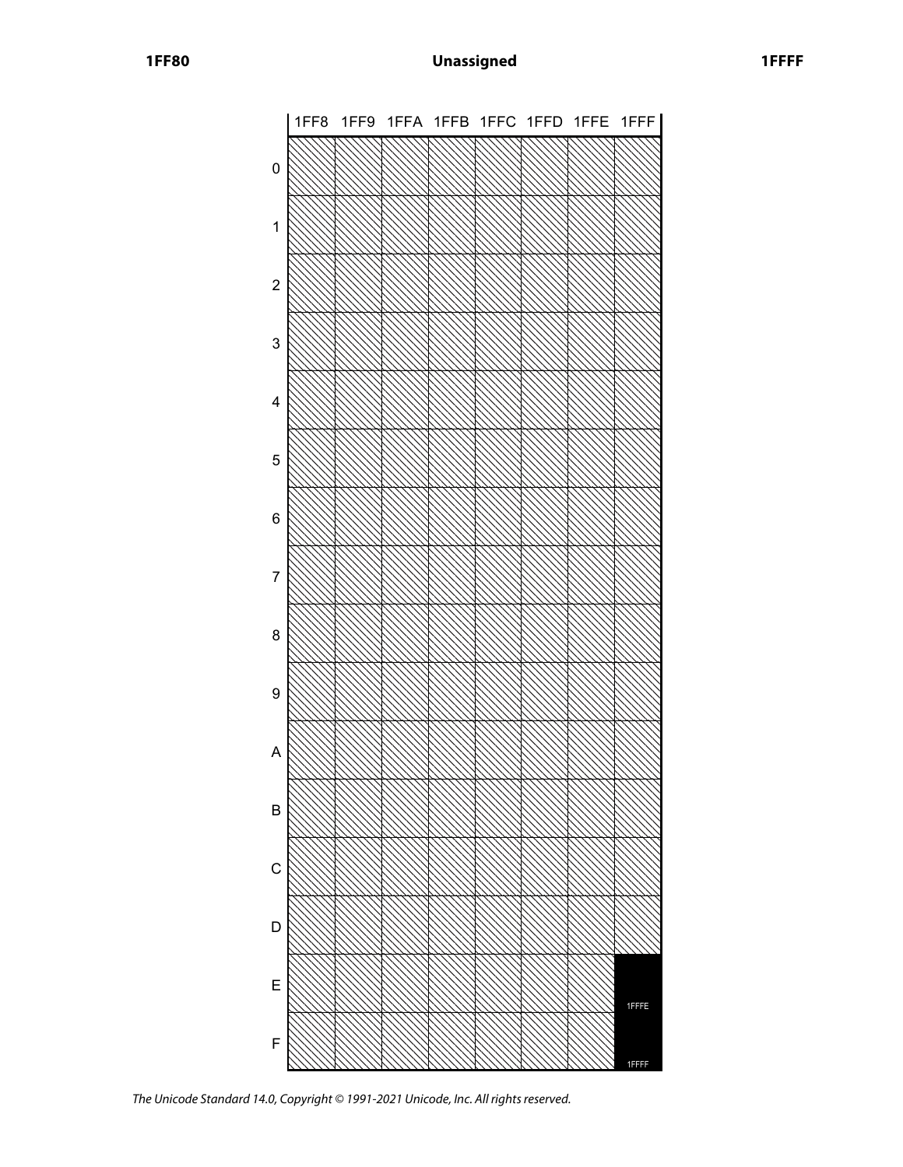

The Unicode Standard 14.0, Copyright © 1991-2021 Unicode, Inc. All rights reserved.